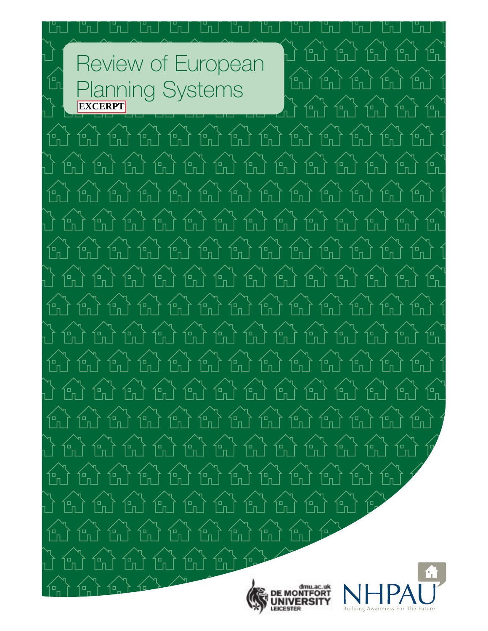#### í□<br>I □ ∕≖ Դո Review of European ſц  $\Box$ Planning Systems Én **EXCERPT**  $\Box$  $\Box$ Έ. ∕≖ ין ב∕ າີ−ຼ า๎°⊓ า๎°⊤ 1] ⊓ ՜¤՟ ים<br>ח" י∍ך é, í□<br>I ⊓  $\Box$  $\Box$ í□, י⊑∫ íα, 1≖. í¤ í¤, í¤ ๅ๎□่ ∕≖ າ∝ า๎๎ๅ๛  $\overline{\mathsf{P}}$ יף בן ים בן יף∫ ן¤ך າ"<br>ໄ"⊓ າ⊡ຼ 1≖\_ í¤, Έ. í o íα. íα, í¤. íα, າ∝ ∕¤\_ í¤ í¤ ים∫ าื่∍ י∮. םך ∕≖ ั้¤<br>⊓ í¤ í□<br>I ⊓  $\overline{\mathsf{P}}$ í¤\_ ´□\_ ի⊡ ים∫ י⊇ ՜¤յ ∕≖ ∕¤\_ íо Éı ՜ս<br>1 າ∝ í¤\_ າ−− ן¤∫ íо i ¤ í¤, é,  $\Box$ ſ"n ∕⊓<br>∫"⊓ ∕≖բ י" ՜¤\_ ՜≖ ∕≖ ſъ í¤\_  $\overline{\mathsf{P}}$ י∍<br>ה ŕ ſъ 何。 í¤ ſ"⊓ Դո イロー f.  $\Box$  $\Box$



 $\Box$ 

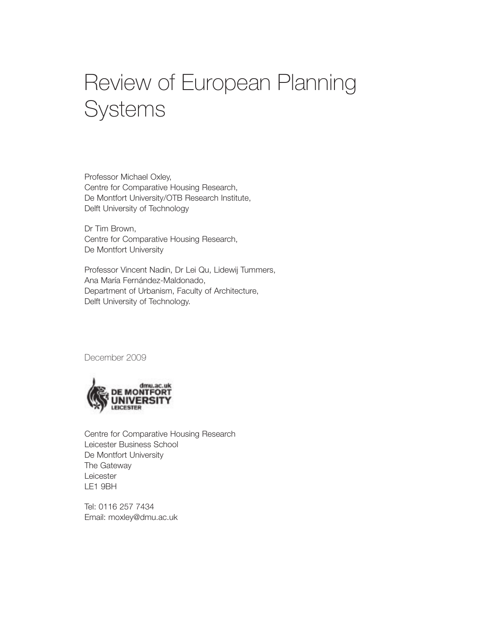## Review of European Planning Systems

Professor Michael Oxley, Centre for Comparative Housing Research, De Montfort University/OTB Research Institute, Delft University of Technology

Dr Tim Brown, Centre for Comparative Housing Research, De Montfort University

Professor Vincent Nadin, Dr Lei Qu, Lidewij Tummers, Ana María Fernández-Maldonado, Department of Urbanism, Faculty of Architecture, Delft University of Technology.

December 2009



Centre for Comparative Housing Research Leicester Business School De Montfort University The Gateway Leicester LE1 9BH

Tel: 0116 257 7434 Email: moxley@dmu.ac.uk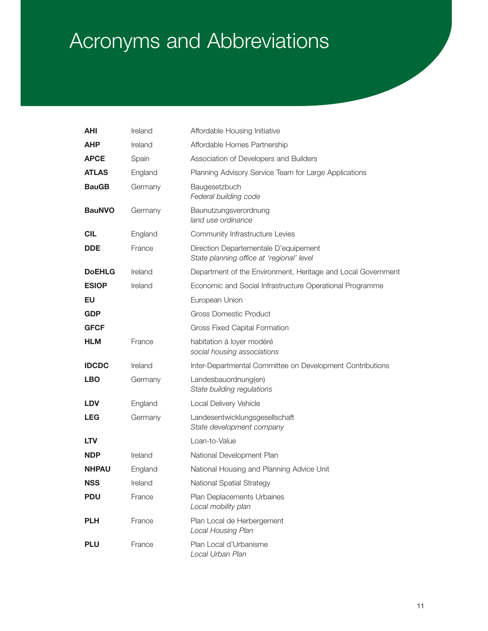## Acronyms and Abbreviations

| <b>AHI</b>    | Ireland | Affordable Housing Initiative                                                      |
|---------------|---------|------------------------------------------------------------------------------------|
| AHP           | Ireland | Affordable Homes Partnership                                                       |
| <b>APCE</b>   | Spain   | Association of Developers and Builders                                             |
| <b>ATLAS</b>  | England | Planning Advisory Service Team for Large Applications                              |
| <b>BauGB</b>  | Germany | Baugesetzbuch<br>Federal building code                                             |
| <b>BauNVO</b> | Germany | Baunutzungsverordnung<br>land use ordinance                                        |
| <b>CIL</b>    | England | Community Infrastructure Levies                                                    |
| <b>DDE</b>    | France  | Direction Departementale D'equipement<br>State planning office at 'regional' level |
| <b>DoEHLG</b> | Ireland | Department of the Environment, Heritage and Local Government                       |
| <b>ESIOP</b>  | Ireland | Economic and Social Infrastructure Operational Programme                           |
| EU            |         | European Union                                                                     |
| <b>GDP</b>    |         | <b>Gross Domestic Product</b>                                                      |
| <b>GFCF</b>   |         | Gross Fixed Capital Formation                                                      |
| <b>HLM</b>    | France  | habitation à loyer modéré<br>social housing associations                           |
| <b>IDCDC</b>  | Ireland | Inter-Departmental Committee on Development Contributions                          |
| LBO           | Germany | Landesbauordnung(en)<br>State building regulations                                 |
| <b>LDV</b>    | England | Local Delivery Vehicle                                                             |
| LEG           | Germany | Landesentwicklungsgesellschaft<br>State development company                        |
| LTV           |         | Loan-to-Value                                                                      |
| <b>NDP</b>    | Ireland | National Development Plan                                                          |
| <b>NHPAU</b>  | England | National Housing and Planning Advice Unit                                          |
| <b>NSS</b>    | Ireland | National Spatial Strategy                                                          |
| <b>PDU</b>    | France  | Plan Deplacements Urbaines<br>Local mobility plan                                  |
| <b>PLH</b>    | France  | Plan Local de Herbergement<br>Local Housing Plan                                   |
| <b>PLU</b>    | France  | Plan Local d'Urbanisme<br>Local Urban Plan                                         |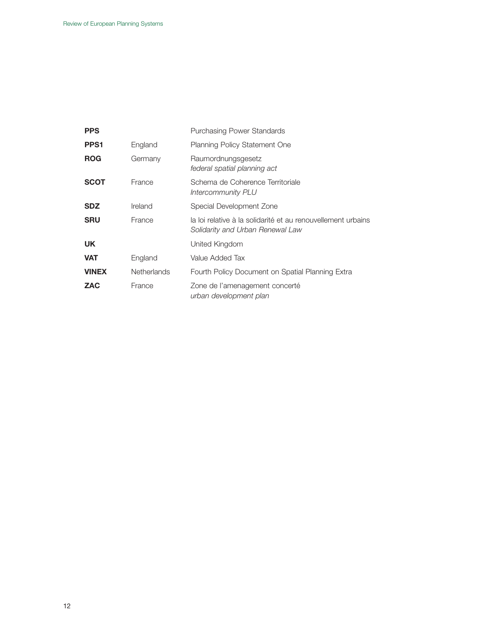| <b>PPS</b>       |                    | <b>Purchasing Power Standards</b>                                                                |
|------------------|--------------------|--------------------------------------------------------------------------------------------------|
| PPS <sub>1</sub> | England            | <b>Planning Policy Statement One</b>                                                             |
| <b>ROG</b>       | Germany            | Raumordnungsgesetz<br>federal spatial planning act                                               |
| <b>SCOT</b>      | France             | Schema de Coherence Territoriale<br>Intercommunity PLU                                           |
| <b>SDZ</b>       | Ireland            | Special Development Zone                                                                         |
| <b>SRU</b>       | France             | la loi relative à la solidarité et au renouvellement urbains<br>Solidarity and Urban Renewal Law |
| UK               |                    | United Kingdom                                                                                   |
| VAT              | England            | Value Added Tax                                                                                  |
| <b>VINEX</b>     | <b>Netherlands</b> | Fourth Policy Document on Spatial Planning Extra                                                 |
| <b>ZAC</b>       | France             | Zone de l'amenagement concerté<br>urban development plan                                         |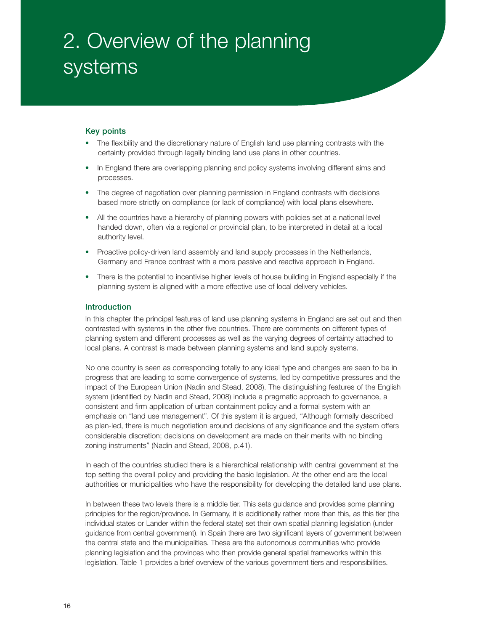## 2. Overview of the planning systems

### Key points

- The flexibility and the discretionary nature of English land use planning contrasts with the certainty provided through legally binding land use plans in other countries.
- In England there are overlapping planning and policy systems involving different aims and processes.
- The degree of negotiation over planning permission in England contrasts with decisions based more strictly on compliance (or lack of compliance) with local plans elsewhere.
- All the countries have a hierarchy of planning powers with policies set at a national level handed down, often via a regional or provincial plan, to be interpreted in detail at a local authority level.
- Proactive policy-driven land assembly and land supply processes in the Netherlands, Germany and France contrast with a more passive and reactive approach in England.
- There is the potential to incentivise higher levels of house building in England especially if the planning system is aligned with a more effective use of local delivery vehicles.

#### Introduction

In this chapter the principal features of land use planning systems in England are set out and then contrasted with systems in the other five countries. There are comments on different types of planning system and different processes as well as the varying degrees of certainty attached to local plans. A contrast is made between planning systems and land supply systems.

No one country is seen as corresponding totally to any ideal type and changes are seen to be in progress that are leading to some convergence of systems, led by competitive pressures and the impact of the European Union (Nadin and Stead, 2008). The distinguishing features of the English system (identified by Nadin and Stead, 2008) include a pragmatic approach to governance, a consistent and firm application of urban containment policy and a formal system with an emphasis on "land use management". Of this system it is argued, "Although formally described as plan-led, there is much negotiation around decisions of any significance and the system offers considerable discretion; decisions on development are made on their merits with no binding zoning instruments" (Nadin and Stead, 2008, p.41).

In each of the countries studied there is a hierarchical relationship with central government at the top setting the overall policy and providing the basic legislation. At the other end are the local authorities or municipalities who have the responsibility for developing the detailed land use plans.

In between these two levels there is a middle tier. This sets guidance and provides some planning principles for the region/province. In Germany, it is additionally rather more than this, as this tier (the individual states or Lander within the federal state) set their own spatial planning legislation (under guidance from central government). In Spain there are two significant layers of government between the central state and the municipalities. These are the autonomous communities who provide planning legislation and the provinces who then provide general spatial frameworks within this legislation. Table 1 provides a brief overview of the various government tiers and responsibilities.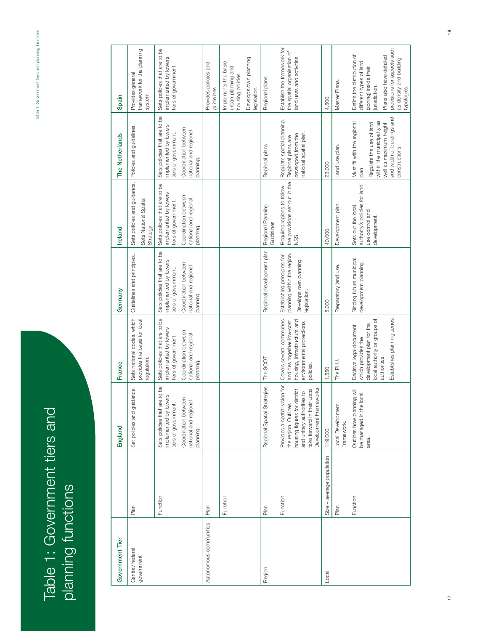# Table 1: Government tiers and<br>planning functions Table 1: Government tiers and planning functions

| Government Tier               |                           | England                                                                                                                                                                       | France                                                                                                                                                   | Germany                                                                                                                                     | Ireland                                                                                                                                     | The Netherlands                                                                                                                                                         | Spain                                                                                                                                                                                               |
|-------------------------------|---------------------------|-------------------------------------------------------------------------------------------------------------------------------------------------------------------------------|----------------------------------------------------------------------------------------------------------------------------------------------------------|---------------------------------------------------------------------------------------------------------------------------------------------|---------------------------------------------------------------------------------------------------------------------------------------------|-------------------------------------------------------------------------------------------------------------------------------------------------------------------------|-----------------------------------------------------------------------------------------------------------------------------------------------------------------------------------------------------|
| Central/Federal<br>government | Plan                      | Set policies and guidance.                                                                                                                                                    | Sets national codes, which<br>provides the basis for local<br>regulation.                                                                                | Guidelines and principles.                                                                                                                  | Sets policies and guidance.<br>Sets National Spatial<br>Strategy.                                                                           | Policies and guidelines.                                                                                                                                                | framework for the planning<br>Provides general<br>system.                                                                                                                                           |
|                               | Function                  | Sets policies that are to be<br>implemented by lowers<br>Coordination between<br>national and regional<br>iers of government.<br>planning.                                    | Sets policies that are to be<br>implemented by lowers<br>Coordination between<br>national and regional<br>tiers of government.<br>planning.              | Sets policies that are to be<br>implemented by lowers<br>Coordination between<br>national and regional<br>tiers of government.<br>planning. | Sets policies that are to be<br>implemented by lowers<br>Coordination between<br>national and regional<br>tiers of government.<br>planning. | Sets policies that are to be<br>implemented by lowers<br>Coordination between<br>national and regional<br>tiers of government.<br>planning.                             | Sets policies that are to be<br>implemented by lowers<br>tiers of government.                                                                                                                       |
| Autonomous communities        | Plan                      |                                                                                                                                                                               |                                                                                                                                                          |                                                                                                                                             |                                                                                                                                             |                                                                                                                                                                         | Provides policies and<br>guidelines                                                                                                                                                                 |
|                               | Function                  |                                                                                                                                                                               |                                                                                                                                                          |                                                                                                                                             |                                                                                                                                             |                                                                                                                                                                         | Develops own planning<br>Implements the basic<br>urban planning and<br>housing policies.<br>legislation.                                                                                            |
| Region                        | Plan                      | ategies<br>Regional Spatial Str                                                                                                                                               | The SCOT                                                                                                                                                 | Regional development plan                                                                                                                   | Regional Planning<br>Guidelines                                                                                                             | Regional plans                                                                                                                                                          | Regional plans                                                                                                                                                                                      |
|                               | Function                  | Provides a spatial vision for<br>Development Frameworks.<br>take forward in their Local<br>housing figures for district<br>and unitary authorities to<br>the region. Outlines | Covers several communes<br>housing, infrastructure and<br>and ties together low-cost<br>environmental protections<br>policies                            | planning within the region.<br>Establishing principles for<br>Develops own planning<br>egislation.                                          | the provisions set out in the<br>Requires regions to follow<br>NSS.                                                                         | Regulate spatial planning.<br>national spatial plan.<br>developed from the<br>Regional plans are                                                                        | Establish the framework for<br>the spatial organisation of<br>land uses and activities.                                                                                                             |
| Local                         | Size - average population | 119,000                                                                                                                                                                       | 1,550                                                                                                                                                    | 5,000                                                                                                                                       | 40,000                                                                                                                                      | 23,000                                                                                                                                                                  | 4,800                                                                                                                                                                                               |
|                               | Plan                      | <b>Local Development</b><br>Framework.                                                                                                                                        | The PLU                                                                                                                                                  | Preparatory land use.                                                                                                                       | Development plan.                                                                                                                           | Land use plan.                                                                                                                                                          | Master Plans.                                                                                                                                                                                       |
|                               | Function                  | Outlines how planning will<br>be managed in the local<br>area.                                                                                                                | Establishes planning zones.<br>local authority or groups of<br>development plan for the<br>Decisive legal document<br>which provides the<br>authorities. | Binding future municipal<br>development planning.                                                                                           | authority's policies for land<br>Sets out the local<br>use control and<br>development.                                                      | and width of buildings and<br>within the municipality as<br>Must fit with the regional<br>Regulate the use of land<br>well as maximum height<br>constructions.<br>plan. | provisions for aspects such<br>Define the distribution of<br>Plans also have detailed<br>as density and building<br>different types of land<br>(zoning) inside their<br>urisdiction.<br>typologies. |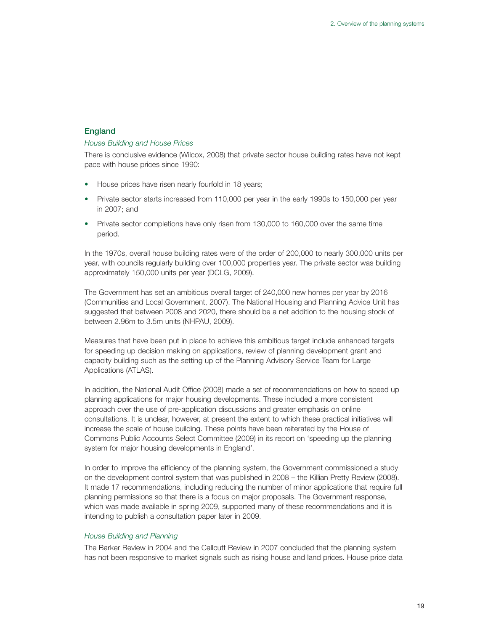#### England

#### *House Building and House Prices*

There is conclusive evidence (Wilcox, 2008) that private sector house building rates have not kept pace with house prices since 1990:

- House prices have risen nearly fourfold in 18 years;
- Private sector starts increased from 110,000 per year in the early 1990s to 150,000 per year in 2007; and
- Private sector completions have only risen from 130,000 to 160,000 over the same time period.

In the 1970s, overall house building rates were of the order of 200,000 to nearly 300,000 units per year, with councils regularly building over 100,000 properties year. The private sector was building approximately 150,000 units per year (DCLG, 2009).

The Government has set an ambitious overall target of 240,000 new homes per year by 2016 (Communities and Local Government, 2007). The National Housing and Planning Advice Unit has suggested that between 2008 and 2020, there should be a net addition to the housing stock of between 2.96m to 3.5m units (NHPAU, 2009).

Measures that have been put in place to achieve this ambitious target include enhanced targets for speeding up decision making on applications, review of planning development grant and capacity building such as the setting up of the Planning Advisory Service Team for Large Applications (ATLAS).

In addition, the National Audit Office (2008) made a set of recommendations on how to speed up planning applications for major housing developments. These included a more consistent approach over the use of pre-application discussions and greater emphasis on online consultations. It is unclear, however, at present the extent to which these practical initiatives will increase the scale of house building. These points have been reiterated by the House of Commons Public Accounts Select Committee (2009) in its report on 'speeding up the planning system for major housing developments in England'.

In order to improve the efficiency of the planning system, the Government commissioned a study on the development control system that was published in 2008 – the Killian Pretty Review (2008). It made 17 recommendations, including reducing the number of minor applications that require full planning permissions so that there is a focus on major proposals. The Government response, which was made available in spring 2009, supported many of these recommendations and it is intending to publish a consultation paper later in 2009.

#### *House Building and Planning*

The Barker Review in 2004 and the Callcutt Review in 2007 concluded that the planning system has not been responsive to market signals such as rising house and land prices. House price data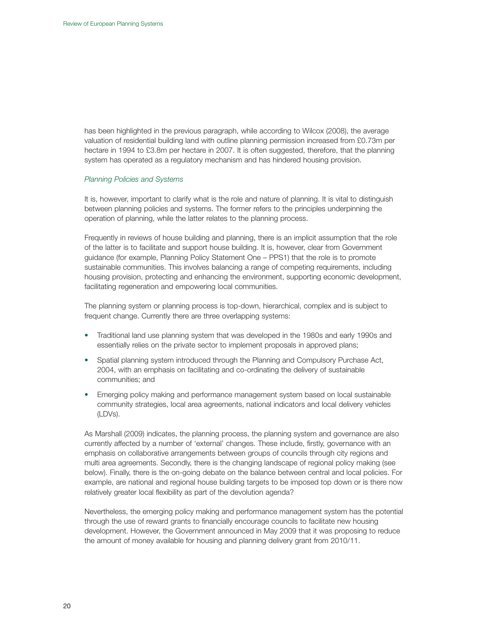has been highlighted in the previous paragraph, while according to Wilcox (2008), the average valuation of residential building land with outline planning permission increased from £0.73m per hectare in 1994 to £3.8m per hectare in 2007. It is often suggested, therefore, that the planning system has operated as a regulatory mechanism and has hindered housing provision.

#### *Planning Policies and Systems*

It is, however, important to clarify what is the role and nature of planning. It is vital to distinguish between planning policies and systems. The former refers to the principles underpinning the operation of planning, while the latter relates to the planning process.

Frequently in reviews of house building and planning, there is an implicit assumption that the role of the latter is to facilitate and support house building. It is, however, clear from Government guidance (for example, Planning Policy Statement One – PPS1) that the role is to promote sustainable communities. This involves balancing a range of competing requirements, including housing provision, protecting and enhancing the environment, supporting economic development, facilitating regeneration and empowering local communities.

The planning system or planning process is top-down, hierarchical, complex and is subject to frequent change. Currently there are three overlapping systems:

- Traditional land use planning system that was developed in the 1980s and early 1990s and essentially relies on the private sector to implement proposals in approved plans;
- Spatial planning system introduced through the Planning and Compulsory Purchase Act, 2004, with an emphasis on facilitating and co-ordinating the delivery of sustainable communities; and
- Emerging policy making and performance management system based on local sustainable community strategies, local area agreements, national indicators and local delivery vehicles (LDVs).

As Marshall (2009) indicates, the planning process, the planning system and governance are also currently affected by a number of 'external' changes. These include, firstly, governance with an emphasis on collaborative arrangements between groups of councils through city regions and multi area agreements. Secondly, there is the changing landscape of regional policy making (see below). Finally, there is the on-going debate on the balance between central and local policies. For example, are national and regional house building targets to be imposed top down or is there now relatively greater local flexibility as part of the devolution agenda?

Nevertheless, the emerging policy making and performance management system has the potential through the use of reward grants to financially encourage councils to facilitate new housing development. However, the Government announced in May 2009 that it was proposing to reduce the amount of money available for housing and planning delivery grant from 2010/11.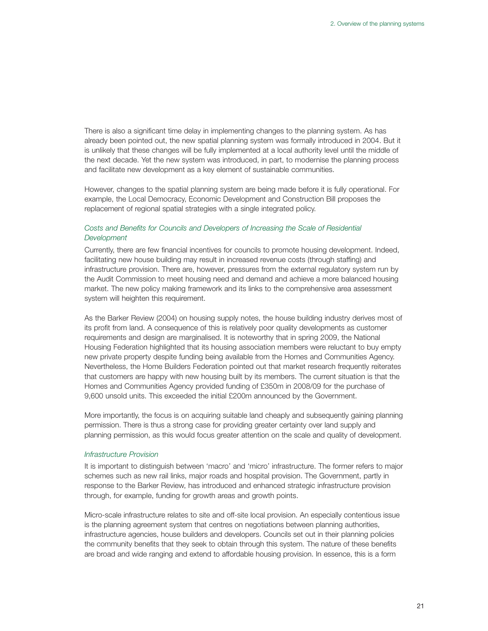There is also a significant time delay in implementing changes to the planning system. As has already been pointed out, the new spatial planning system was formally introduced in 2004. But it is unlikely that these changes will be fully implemented at a local authority level until the middle of the next decade. Yet the new system was introduced, in part, to modernise the planning process and facilitate new development as a key element of sustainable communities.

However, changes to the spatial planning system are being made before it is fully operational. For example, the Local Democracy, Economic Development and Construction Bill proposes the replacement of regional spatial strategies with a single integrated policy.

#### *Costs and Benefits for Councils and Developers of Increasing the Scale of Residential Development*

Currently, there are few financial incentives for councils to promote housing development. Indeed, facilitating new house building may result in increased revenue costs (through staffing) and infrastructure provision. There are, however, pressures from the external regulatory system run by the Audit Commission to meet housing need and demand and achieve a more balanced housing market. The new policy making framework and its links to the comprehensive area assessment system will heighten this requirement.

As the Barker Review (2004) on housing supply notes, the house building industry derives most of its profit from land. A consequence of this is relatively poor quality developments as customer requirements and design are marginalised. It is noteworthy that in spring 2009, the National Housing Federation highlighted that its housing association members were reluctant to buy empty new private property despite funding being available from the Homes and Communities Agency. Nevertheless, the Home Builders Federation pointed out that market research frequently reiterates that customers are happy with new housing built by its members. The current situation is that the Homes and Communities Agency provided funding of £350m in 2008/09 for the purchase of 9,600 unsold units. This exceeded the initial £200m announced by the Government.

More importantly, the focus is on acquiring suitable land cheaply and subsequently gaining planning permission. There is thus a strong case for providing greater certainty over land supply and planning permission, as this would focus greater attention on the scale and quality of development.

#### *Infrastructure Provision*

It is important to distinguish between 'macro' and 'micro' infrastructure. The former refers to major schemes such as new rail links, major roads and hospital provision. The Government, partly in response to the Barker Review, has introduced and enhanced strategic infrastructure provision through, for example, funding for growth areas and growth points.

Micro-scale infrastructure relates to site and off-site local provision. An especially contentious issue is the planning agreement system that centres on negotiations between planning authorities, infrastructure agencies, house builders and developers. Councils set out in their planning policies the community benefits that they seek to obtain through this system. The nature of these benefits are broad and wide ranging and extend to affordable housing provision. In essence, this is a form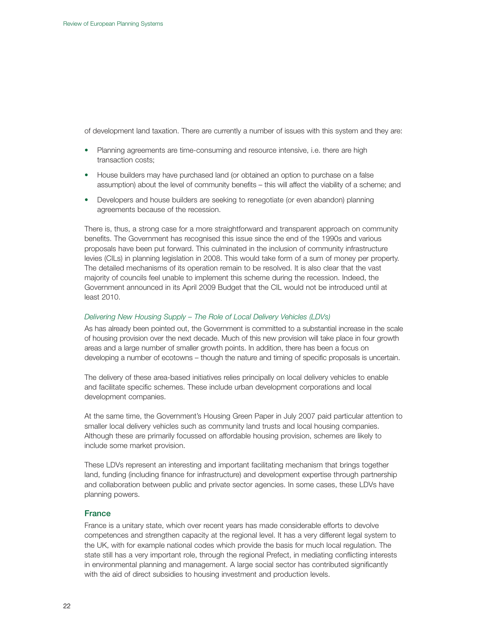of development land taxation. There are currently a number of issues with this system and they are:

- Planning agreements are time-consuming and resource intensive, i.e. there are high transaction costs;
- House builders may have purchased land (or obtained an option to purchase on a false assumption) about the level of community benefits – this will affect the viability of a scheme; and
- Developers and house builders are seeking to renegotiate (or even abandon) planning agreements because of the recession.

There is, thus, a strong case for a more straightforward and transparent approach on community benefits. The Government has recognised this issue since the end of the 1990s and various proposals have been put forward. This culminated in the inclusion of community infrastructure levies (CILs) in planning legislation in 2008. This would take form of a sum of money per property. The detailed mechanisms of its operation remain to be resolved. It is also clear that the vast majority of councils feel unable to implement this scheme during the recession. Indeed, the Government announced in its April 2009 Budget that the CIL would not be introduced until at least 2010.

#### *Delivering New Housing Supply – The Role of Local Delivery Vehicles (LDVs)*

As has already been pointed out, the Government is committed to a substantial increase in the scale of housing provision over the next decade. Much of this new provision will take place in four growth areas and a large number of smaller growth points. In addition, there has been a focus on developing a number of ecotowns – though the nature and timing of specific proposals is uncertain.

The delivery of these area-based initiatives relies principally on local delivery vehicles to enable and facilitate specific schemes. These include urban development corporations and local development companies.

At the same time, the Government's Housing Green Paper in July 2007 paid particular attention to smaller local delivery vehicles such as community land trusts and local housing companies. Although these are primarily focussed on affordable housing provision, schemes are likely to include some market provision.

These LDVs represent an interesting and important facilitating mechanism that brings together land, funding (including finance for infrastructure) and development expertise through partnership and collaboration between public and private sector agencies. In some cases, these LDVs have planning powers.

#### **France**

France is a unitary state, which over recent years has made considerable efforts to devolve competences and strengthen capacity at the regional level. It has a very different legal system to the UK, with for example national codes which provide the basis for much local regulation. The state still has a very important role, through the regional Prefect, in mediating conflicting interests in environmental planning and management. A large social sector has contributed significantly with the aid of direct subsidies to housing investment and production levels.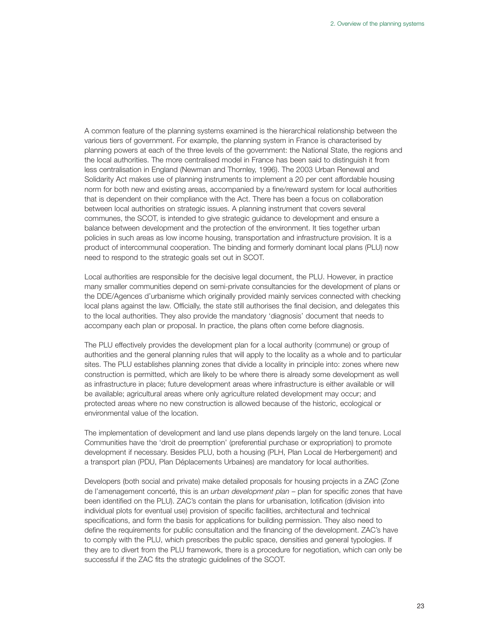A common feature of the planning systems examined is the hierarchical relationship between the various tiers of government. For example, the planning system in France is characterised by planning powers at each of the three levels of the government: the National State, the regions and the local authorities. The more centralised model in France has been said to distinguish it from less centralisation in England (Newman and Thornley, 1996). The 2003 Urban Renewal and Solidarity Act makes use of planning instruments to implement a 20 per cent affordable housing norm for both new and existing areas, accompanied by a fine/reward system for local authorities that is dependent on their compliance with the Act. There has been a focus on collaboration between local authorities on strategic issues. A planning instrument that covers several communes, the SCOT, is intended to give strategic guidance to development and ensure a balance between development and the protection of the environment. It ties together urban policies in such areas as low income housing, transportation and infrastructure provision. It is a product of intercommunal cooperation. The binding and formerly dominant local plans (PLU) now need to respond to the strategic goals set out in SCOT.

Local authorities are responsible for the decisive legal document, the PLU. However, in practice many smaller communities depend on semi-private consultancies for the development of plans or the DDE/Agences d'urbanisme which originally provided mainly services connected with checking local plans against the law. Officially, the state still authorises the final decision, and delegates this to the local authorities. They also provide the mandatory 'diagnosis' document that needs to accompany each plan or proposal. In practice, the plans often come before diagnosis.

The PLU effectively provides the development plan for a local authority (commune) or group of authorities and the general planning rules that will apply to the locality as a whole and to particular sites. The PLU establishes planning zones that divide a locality in principle into: zones where new construction is permitted, which are likely to be where there is already some development as well as infrastructure in place; future development areas where infrastructure is either available or will be available; agricultural areas where only agriculture related development may occur; and protected areas where no new construction is allowed because of the historic, ecological or environmental value of the location.

The implementation of development and land use plans depends largely on the land tenure. Local Communities have the 'droit de preemption' (preferential purchase or expropriation) to promote development if necessary. Besides PLU, both a housing (PLH, Plan Local de Herbergement) and a transport plan (PDU, Plan Déplacements Urbaines) are mandatory for local authorities.

Developers (both social and private) make detailed proposals for housing projects in a ZAC (Zone de l'amenagement concerté, this is an *urban development plan* – plan for specific zones that have been identified on the PLU). ZAC's contain the plans for urbanisation, lotification (division into individual plots for eventual use) provision of specific facilities, architectural and technical specifications, and form the basis for applications for building permission. They also need to define the requirements for public consultation and the financing of the development. ZAC's have to comply with the PLU, which prescribes the public space, densities and general typologies. If they are to divert from the PLU framework, there is a procedure for negotiation, which can only be successful if the ZAC fits the strategic guidelines of the SCOT.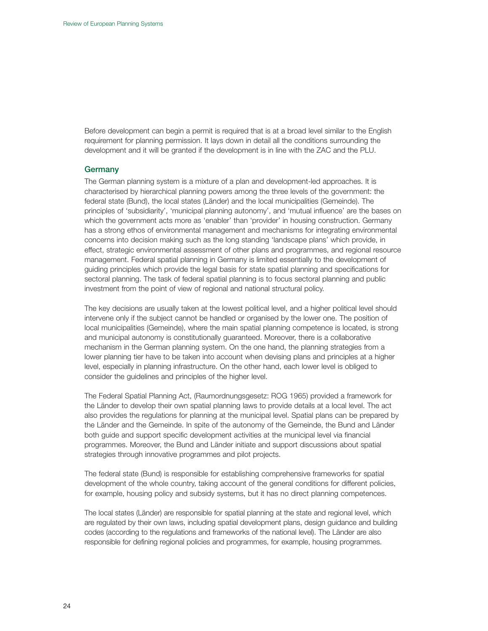Before development can begin a permit is required that is at a broad level similar to the English requirement for planning permission. It lays down in detail all the conditions surrounding the development and it will be granted if the development is in line with the ZAC and the PLU.

#### **Germany**

The German planning system is a mixture of a plan and development-led approaches. It is characterised by hierarchical planning powers among the three levels of the government: the federal state (Bund), the local states (Länder) and the local municipalities (Gemeinde). The principles of 'subsidiarity', 'municipal planning autonomy', and 'mutual influence' are the bases on which the government acts more as 'enabler' than 'provider' in housing construction. Germany has a strong ethos of environmental management and mechanisms for integrating environmental concerns into decision making such as the long standing 'landscape plans' which provide, in effect, strategic environmental assessment of other plans and programmes, and regional resource management. Federal spatial planning in Germany is limited essentially to the development of guiding principles which provide the legal basis for state spatial planning and specifications for sectoral planning. The task of federal spatial planning is to focus sectoral planning and public investment from the point of view of regional and national structural policy.

The key decisions are usually taken at the lowest political level, and a higher political level should intervene only if the subject cannot be handled or organised by the lower one. The position of local municipalities (Gemeinde), where the main spatial planning competence is located, is strong and municipal autonomy is constitutionally guaranteed. Moreover, there is a collaborative mechanism in the German planning system. On the one hand, the planning strategies from a lower planning tier have to be taken into account when devising plans and principles at a higher level, especially in planning infrastructure. On the other hand, each lower level is obliged to consider the guidelines and principles of the higher level.

The Federal Spatial Planning Act, (Raumordnungsgesetz: ROG 1965) provided a framework for the Länder to develop their own spatial planning laws to provide details at a local level. The act also provides the regulations for planning at the municipal level. Spatial plans can be prepared by the Länder and the Gemeinde. In spite of the autonomy of the Gemeinde, the Bund and Länder both guide and support specific development activities at the municipal level via financial programmes. Moreover, the Bund and Länder initiate and support discussions about spatial strategies through innovative programmes and pilot projects.

The federal state (Bund) is responsible for establishing comprehensive frameworks for spatial development of the whole country, taking account of the general conditions for different policies, for example, housing policy and subsidy systems, but it has no direct planning competences.

The local states (Länder) are responsible for spatial planning at the state and regional level, which are regulated by their own laws, including spatial development plans, design guidance and building codes (according to the regulations and frameworks of the national level). The Länder are also responsible for defining regional policies and programmes, for example, housing programmes.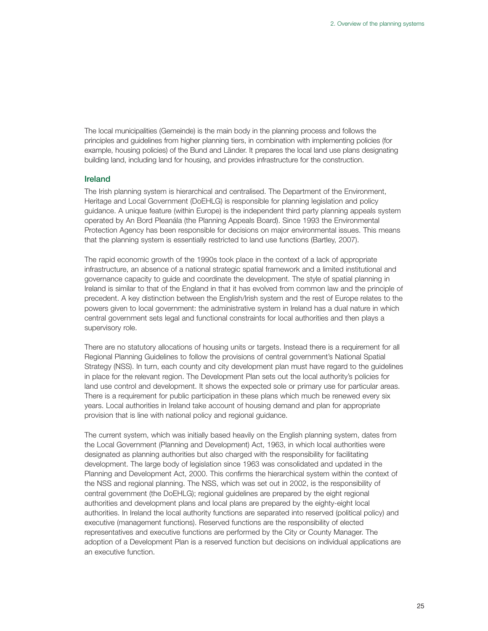The local municipalities (Gemeinde) is the main body in the planning process and follows the principles and guidelines from higher planning tiers, in combination with implementing policies (for example, housing policies) of the Bund and Länder. It prepares the local land use plans designating building land, including land for housing, and provides infrastructure for the construction.

#### Ireland

The Irish planning system is hierarchical and centralised. The Department of the Environment, Heritage and Local Government (DoEHLG) is responsible for planning legislation and policy guidance. A unique feature (within Europe) is the independent third party planning appeals system operated by An Bord Pleanála (the Planning Appeals Board). Since 1993 the Environmental Protection Agency has been responsible for decisions on major environmental issues. This means that the planning system is essentially restricted to land use functions (Bartley, 2007).

The rapid economic growth of the 1990s took place in the context of a lack of appropriate infrastructure, an absence of a national strategic spatial framework and a limited institutional and governance capacity to guide and coordinate the development. The style of spatial planning in Ireland is similar to that of the England in that it has evolved from common law and the principle of precedent. A key distinction between the English/Irish system and the rest of Europe relates to the powers given to local government: the administrative system in Ireland has a dual nature in which central government sets legal and functional constraints for local authorities and then plays a supervisory role.

There are no statutory allocations of housing units or targets. Instead there is a requirement for all Regional Planning Guidelines to follow the provisions of central government's National Spatial Strategy (NSS). In turn, each county and city development plan must have regard to the guidelines in place for the relevant region. The Development Plan sets out the local authority's policies for land use control and development. It shows the expected sole or primary use for particular areas. There is a requirement for public participation in these plans which much be renewed every six years. Local authorities in Ireland take account of housing demand and plan for appropriate provision that is line with national policy and regional guidance.

The current system, which was initially based heavily on the English planning system, dates from the Local Government (Planning and Development) Act, 1963, in which local authorities were designated as planning authorities but also charged with the responsibility for facilitating development. The large body of legislation since 1963 was consolidated and updated in the Planning and Development Act, 2000. This confirms the hierarchical system within the context of the NSS and regional planning. The NSS, which was set out in 2002, is the responsibility of central government (the DoEHLG); regional guidelines are prepared by the eight regional authorities and development plans and local plans are prepared by the eighty-eight local authorities. In Ireland the local authority functions are separated into reserved (political policy) and executive (management functions). Reserved functions are the responsibility of elected representatives and executive functions are performed by the City or County Manager. The adoption of a Development Plan is a reserved function but decisions on individual applications are an executive function.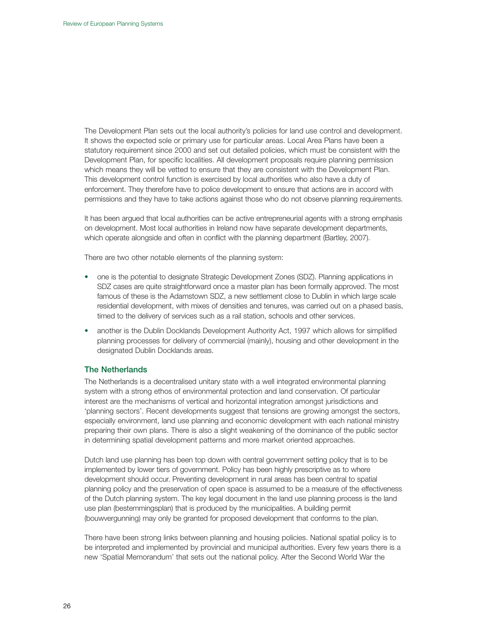The Development Plan sets out the local authority's policies for land use control and development. It shows the expected sole or primary use for particular areas. Local Area Plans have been a statutory requirement since 2000 and set out detailed policies, which must be consistent with the Development Plan, for specific localities. All development proposals require planning permission which means they will be vetted to ensure that they are consistent with the Development Plan. This development control function is exercised by local authorities who also have a duty of enforcement. They therefore have to police development to ensure that actions are in accord with permissions and they have to take actions against those who do not observe planning requirements.

It has been argued that local authorities can be active entrepreneurial agents with a strong emphasis on development. Most local authorities in Ireland now have separate development departments, which operate alongside and often in conflict with the planning department (Bartley, 2007).

There are two other notable elements of the planning system:

- one is the potential to designate Strategic Development Zones (SDZ). Planning applications in SDZ cases are quite straightforward once a master plan has been formally approved. The most famous of these is the Adamstown SDZ, a new settlement close to Dublin in which large scale residential development, with mixes of densities and tenures, was carried out on a phased basis, timed to the delivery of services such as a rail station, schools and other services.
- s another is the Dublin Docklands Development Authority Act, 1997 which allows for simplified planning processes for delivery of commercial (mainly), housing and other development in the designated Dublin Docklands areas.

#### The Netherlands

The Netherlands is a decentralised unitary state with a well integrated environmental planning system with a strong ethos of environmental protection and land conservation. Of particular interest are the mechanisms of vertical and horizontal integration amongst jurisdictions and 'planning sectors'. Recent developments suggest that tensions are growing amongst the sectors, especially environment, land use planning and economic development with each national ministry preparing their own plans. There is also a slight weakening of the dominance of the public sector in determining spatial development patterns and more market oriented approaches.

Dutch land use planning has been top down with central government setting policy that is to be implemented by lower tiers of government. Policy has been highly prescriptive as to where development should occur. Preventing development in rural areas has been central to spatial planning policy and the preservation of open space is assumed to be a measure of the effectiveness of the Dutch planning system. The key legal document in the land use planning process is the land use plan (bestemmingsplan) that is produced by the municipalities. A building permit (bouwvergunning) may only be granted for proposed development that conforms to the plan.

There have been strong links between planning and housing policies. National spatial policy is to be interpreted and implemented by provincial and municipal authorities. Every few years there is a new 'Spatial Memorandum' that sets out the national policy. After the Second World War the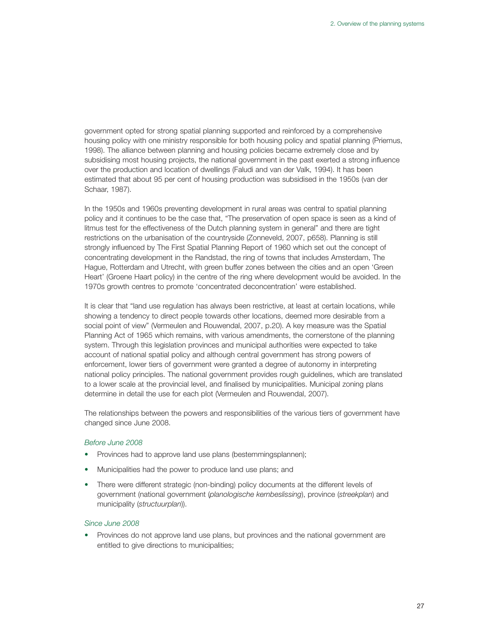government opted for strong spatial planning supported and reinforced by a comprehensive housing policy with one ministry responsible for both housing policy and spatial planning (Priemus, 1998). The alliance between planning and housing policies became extremely close and by subsidising most housing projects, the national government in the past exerted a strong influence over the production and location of dwellings (Faludi and van der Valk, 1994). It has been estimated that about 95 per cent of housing production was subsidised in the 1950s (van der Schaar, 1987).

In the 1950s and 1960s preventing development in rural areas was central to spatial planning policy and it continues to be the case that, "The preservation of open space is seen as a kind of litmus test for the effectiveness of the Dutch planning system in general" and there are tight restrictions on the urbanisation of the countryside (Zonneveld, 2007, p658). Planning is still strongly influenced by The First Spatial Planning Report of 1960 which set out the concept of concentrating development in the Randstad, the ring of towns that includes Amsterdam, The Hague, Rotterdam and Utrecht, with green buffer zones between the cities and an open 'Green Heart' (Groene Haart policy) in the centre of the ring where development would be avoided. In the 1970s growth centres to promote 'concentrated deconcentration' were established.

It is clear that "land use regulation has always been restrictive, at least at certain locations, while showing a tendency to direct people towards other locations, deemed more desirable from a social point of view" (Vermeulen and Rouwendal, 2007, p.20). A key measure was the Spatial Planning Act of 1965 which remains, with various amendments, the cornerstone of the planning system. Through this legislation provinces and municipal authorities were expected to take account of national spatial policy and although central government has strong powers of enforcement, lower tiers of government were granted a degree of autonomy in interpreting national policy principles. The national government provides rough guidelines, which are translated to a lower scale at the provincial level, and finalised by municipalities. Municipal zoning plans determine in detail the use for each plot (Vermeulen and Rouwendal, 2007).

The relationships between the powers and responsibilities of the various tiers of government have changed since June 2008.

#### *Before June 2008*

- Provinces had to approve land use plans (bestemmingsplannen);
- Municipalities had the power to produce land use plans; and
- There were different strategic (non-binding) policy documents at the different levels of government (national government (*planologische kernbeslissing*), province (*streekplan*) and municipality (*structuurplan*)).

#### *Since June 2008*

• Provinces do not approve land use plans, but provinces and the national government are entitled to give directions to municipalities;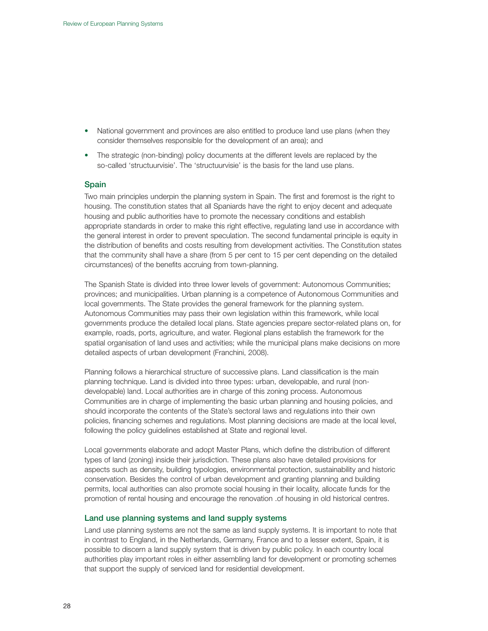- National government and provinces are also entitled to produce land use plans (when they consider themselves responsible for the development of an area); and
- The strategic (non-binding) policy documents at the different levels are replaced by the so-called 'structuurvisie'. The 'structuurvisie' is the basis for the land use plans.

#### Spain

Two main principles underpin the planning system in Spain. The first and foremost is the right to housing. The constitution states that all Spaniards have the right to enjoy decent and adequate housing and public authorities have to promote the necessary conditions and establish appropriate standards in order to make this right effective, regulating land use in accordance with the general interest in order to prevent speculation. The second fundamental principle is equity in the distribution of benefits and costs resulting from development activities. The Constitution states that the community shall have a share (from 5 per cent to 15 per cent depending on the detailed circumstances) of the benefits accruing from town-planning.

The Spanish State is divided into three lower levels of government: Autonomous Communities; provinces; and municipalities. Urban planning is a competence of Autonomous Communities and local governments. The State provides the general framework for the planning system. Autonomous Communities may pass their own legislation within this framework, while local governments produce the detailed local plans. State agencies prepare sector-related plans on, for example, roads, ports, agriculture, and water. Regional plans establish the framework for the spatial organisation of land uses and activities; while the municipal plans make decisions on more detailed aspects of urban development (Franchini, 2008).

Planning follows a hierarchical structure of successive plans. Land classification is the main planning technique. Land is divided into three types: urban, developable, and rural (nondevelopable) land. Local authorities are in charge of this zoning process. Autonomous Communities are in charge of implementing the basic urban planning and housing policies, and should incorporate the contents of the State's sectoral laws and regulations into their own policies, financing schemes and regulations. Most planning decisions are made at the local level, following the policy guidelines established at State and regional level.

Local governments elaborate and adopt Master Plans, which define the distribution of different types of land (zoning) inside their jurisdiction. These plans also have detailed provisions for aspects such as density, building typologies, environmental protection, sustainability and historic conservation. Besides the control of urban development and granting planning and building permits, local authorities can also promote social housing in their locality, allocate funds for the promotion of rental housing and encourage the renovation .of housing in old historical centres.

#### Land use planning systems and land supply systems

Land use planning systems are not the same as land supply systems. It is important to note that in contrast to England, in the Netherlands, Germany, France and to a lesser extent, Spain, it is possible to discern a land supply system that is driven by public policy. In each country local authorities play important roles in either assembling land for development or promoting schemes that support the supply of serviced land for residential development.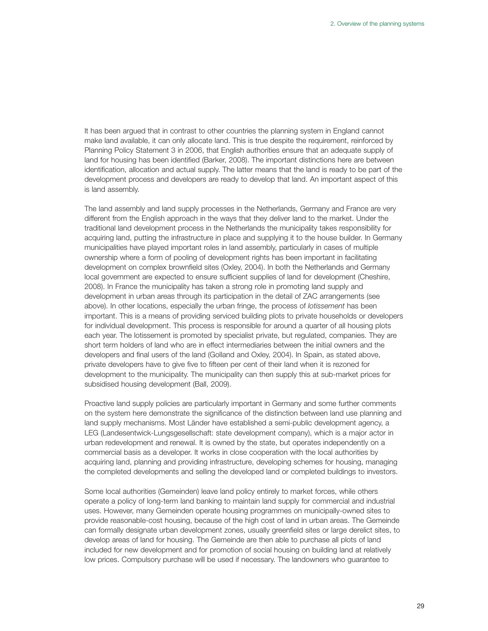It has been argued that in contrast to other countries the planning system in England cannot make land available, it can only allocate land. This is true despite the requirement, reinforced by Planning Policy Statement 3 in 2006, that English authorities ensure that an adequate supply of land for housing has been identified (Barker, 2008). The important distinctions here are between identification, allocation and actual supply. The latter means that the land is ready to be part of the development process and developers are ready to develop that land. An important aspect of this is land assembly.

The land assembly and land supply processes in the Netherlands, Germany and France are very different from the English approach in the ways that they deliver land to the market. Under the traditional land development process in the Netherlands the municipality takes responsibility for acquiring land, putting the infrastructure in place and supplying it to the house builder. In Germany municipalities have played important roles in land assembly, particularly in cases of multiple ownership where a form of pooling of development rights has been important in facilitating development on complex brownfield sites (Oxley, 2004). In both the Netherlands and Germany local government are expected to ensure sufficient supplies of land for development (Cheshire, 2008). In France the municipality has taken a strong role in promoting land supply and development in urban areas through its participation in the detail of ZAC arrangements (see above). In other locations, especially the urban fringe, the process of *lotissement* has been important. This is a means of providing serviced building plots to private households or developers for individual development. This process is responsible for around a quarter of all housing plots each year. The lotissement is promoted by specialist private, but regulated, companies. They are short term holders of land who are in effect intermediaries between the initial owners and the developers and final users of the land (Golland and Oxley, 2004). In Spain, as stated above, private developers have to give five to fifteen per cent of their land when it is rezoned for development to the municipality. The municipality can then supply this at sub-market prices for subsidised housing development (Ball, 2009).

Proactive land supply policies are particularly important in Germany and some further comments on the system here demonstrate the significance of the distinction between land use planning and land supply mechanisms. Most Länder have established a semi-public development agency, a LEG (Landesentwick-Lungsgesellschaft: state development company), which is a major actor in urban redevelopment and renewal. It is owned by the state, but operates independently on a commercial basis as a developer. It works in close cooperation with the local authorities by acquiring land, planning and providing infrastructure, developing schemes for housing, managing the completed developments and selling the developed land or completed buildings to investors.

Some local authorities (Gemeinden) leave land policy entirely to market forces, while others operate a policy of long-term land banking to maintain land supply for commercial and industrial uses. However, many Gemeinden operate housing programmes on municipally-owned sites to provide reasonable-cost housing, because of the high cost of land in urban areas. The Gemeinde can formally designate urban development zones, usually greenfield sites or large derelict sites, to develop areas of land for housing. The Gemeinde are then able to purchase all plots of land included for new development and for promotion of social housing on building land at relatively low prices. Compulsory purchase will be used if necessary. The landowners who guarantee to